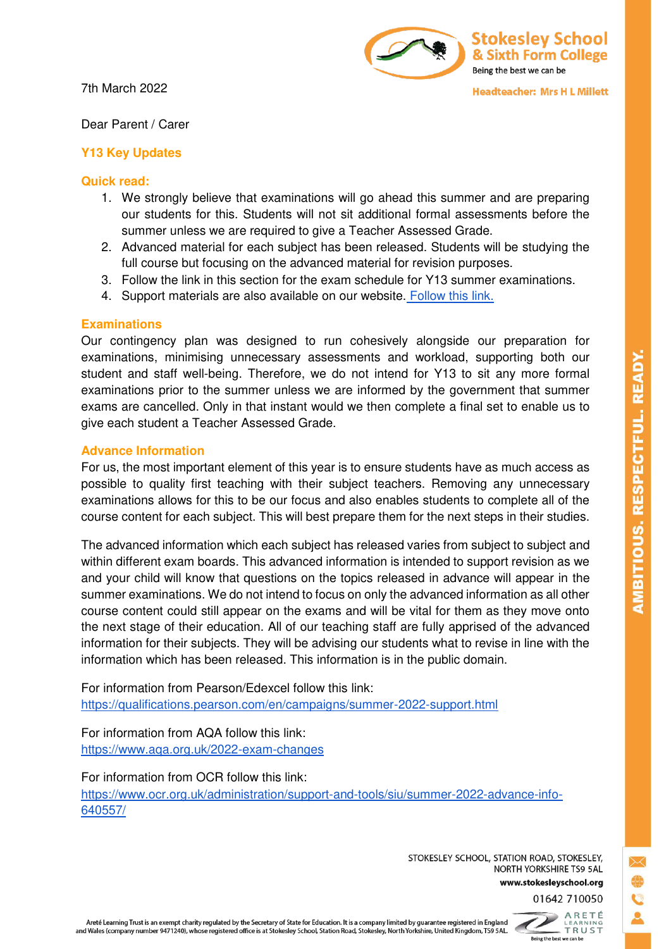7th March 2022



**Headteacher: Mrs H L Millett** 

Dear Parent / Carer

## **Y13 Key Updates**

## **Quick read:**

- 1. We strongly believe that examinations will go ahead this summer and are preparing our students for this. Students will not sit additional formal assessments before the summer unless we are required to give a Teacher Assessed Grade.
- 2. Advanced material for each subject has been released. Students will be studying the full course but focusing on the advanced material for revision purposes.
- 3. Follow the link in this section for the exam schedule for Y13 summer examinations.
- 4. Support materials are also available on our website[. Follow this link.](https://www.stokesleyschool.org/key-information/exam-information/)

# **Examinations**

Our contingency plan was designed to run cohesively alongside our preparation for examinations, minimising unnecessary assessments and workload, supporting both our student and staff well-being. Therefore, we do not intend for Y13 to sit any more formal examinations prior to the summer unless we are informed by the government that summer exams are cancelled. Only in that instant would we then complete a final set to enable us to give each student a Teacher Assessed Grade.

## **Advance Information**

For us, the most important element of this year is to ensure students have as much access as possible to quality first teaching with their subject teachers. Removing any unnecessary examinations allows for this to be our focus and also enables students to complete all of the course content for each subject. This will best prepare them for the next steps in their studies.

The advanced information which each subject has released varies from subject to subject and within different exam boards. This advanced information is intended to support revision as we and your child will know that questions on the topics released in advance will appear in the summer examinations. We do not intend to focus on only the advanced information as all other course content could still appear on the exams and will be vital for them as they move onto the next stage of their education. All of our teaching staff are fully apprised of the advanced information for their subjects. They will be advising our students what to revise in line with the information which has been released. This information is in the public domain.

For information from Pearson/Edexcel follow this link: <https://qualifications.pearson.com/en/campaigns/summer-2022-support.html>

For information from AQA follow this link: <https://www.aqa.org.uk/2022-exam-changes>

For information from OCR follow this link: [https://www.ocr.org.uk/administration/support-and-tools/siu/summer-2022-advance-info-](https://www.ocr.org.uk/administration/support-and-tools/siu/summer-2022-advance-info-640557/)[640557/](https://www.ocr.org.uk/administration/support-and-tools/siu/summer-2022-advance-info-640557/)

> STOKESLEY SCHOOL, STATION ROAD, STOKESLEY, NORTH YORKSHIRE TS9 5AL www.stokesleyschool.org

01642 710050